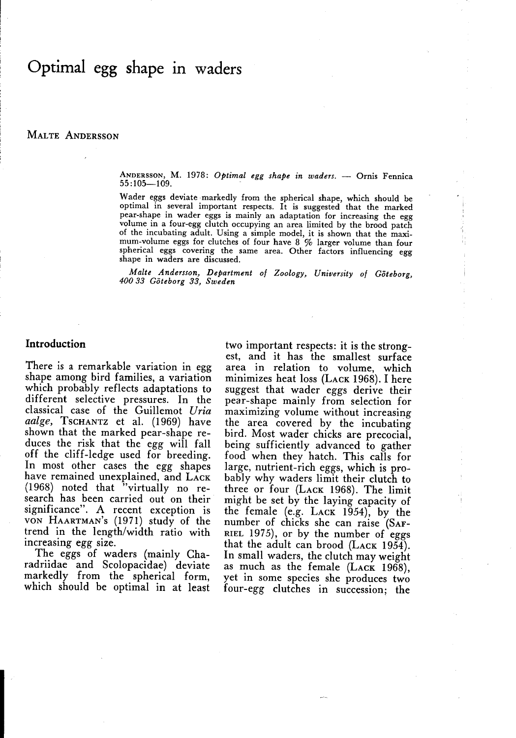# Optimal egg shape in waders

MALTE ANDERSSON

ANDERSSON, M. 1978: Optimal egg shape in waders. - Ornis Fennica  $55:105 - 109.$ 

Wader eggs deviate markedly from the spherical shape, which should be optimal in several important respects . It is suggested that the marked pear-shape in wader eggs is mainly an adaptation for increasing the egg volume in a four-egg clutch occupying an area limited by the brood patch of the incubating adult. Using a simple model, it is shown that the maximum-volume eggs for clutches of four have  $8\%$  larger volume than four spherical eggs covering the same area . Other factors influencing egg shape in waders are discussed.

Malte Andersson, Department of Zoology, University of Göteborg, 40033 Göteborg 33, Sweden

# Introduction

There is a remarkable variation in egg shape among bird families, a variation which probably reflects adaptations to different selective pressures. In the classical case of the Guillemot Uria aalge, Tschantz et al. (1969) have shown that the marked pear-shape reduces the risk that the egg will fall off the cliff-ledge used for breeding. In most other cases the egg shapes have remained unexplained, and LACK (1968) noted that "virtually no research has been carried out on their significance". A recent exception is VON HAARTMAN'S (1971) study of the trend in the length/width ratio with increasing egg size.

The eggs of waders (mainly Charadriidae and Scolopacidae) deviate markedly from the spherical form, which should be optimal in at least

two important respects : it is the strongest, and it has the smallest surface area in relation to volume, which minimizes heat loss (LACK 1968) . <sup>I</sup> here suggest that wader eggs derive their pear-shape mainly from selection for maximizing volume without increasing the area covered by the incubating bird. Most wader chicks are precocial, being sufficiently advanced to gather food when they hatch. This calls for large, nutrient-rich eggs, which is probably why waders limit their clutch to three or four (LACK 1968). The limit might be set by the laying capacity of the female (e.g.  $Lack$  1954), by the number of chicks she can raise (SAF-RIEL 1975), or by the number of eggs that the adult can brood (LACK 1954). In small waders, the clutch may weight as much as the female (LACK 1968), yet in some species she produces two four-egg clutches in succession; the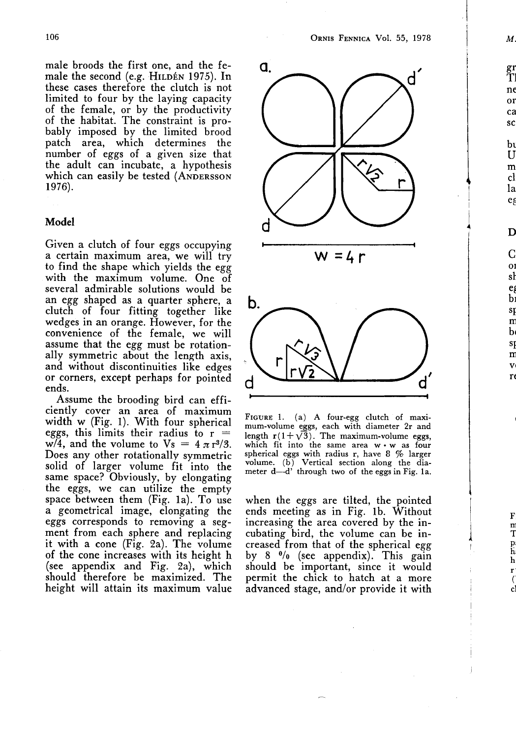male broods the first one, and the female the second (e.g. HILDÉN 1975). In these cases therefore the clutch is not limited to four by the laying capacity of the female, or by the productivity of the habitat. The constraint is probably imposed by the limited brood patch area, which determines the number of eggs of a given size that the adult can incubate, a hypothesis which can easily be tested (ANDERSSON 1976).

## Model

Given a clutch of four eggs occupying a certain maximum area, we will try to find the shape which yields the egg with the maximum volume. One of several admirable solutions would be an egg shaped as a quarter sphere, a clutch of four fitting together like wedges in an orange. However, for the convenience of the female, we will assume that the egg must be rotationally symmetric about the length axis, and without discontinuities like edges or corners, except perhaps for pointed ends.

Assume the brooding bird can efficiently cover an area of maximum width w (Fig. 1) . With four spherical eggs, this limits their radius to  $r =$ w/4, and the volume to  $V_s = 4 \pi r^{3/3}$ . Does any other rotationally symmetric solid of larger volume fit into the same space? Obviously, by elongating the eggs, we can utilize the empty space between them (Fig. 1a). To use a geometrical image, elongating the eggs corresponds to removing a segment from each sphere and replacing it with a cone ( $\lim_{n \to \infty}$  2a). The volume of the cone increases with its height h (see appendix and Fig. 2a), which should therefore be maximized. The height will attain its maximum value



FIGURE 1. (a) A four-egg clutch of maximum-volume eggs, each with diameter 2r and length  $r(1 + \sqrt{3})$ . The maximum-volume eggs, which fit into the same area  $w \cdot w$  as four spherical eggs with radius r, have <sup>8</sup> % larger volume . (b) Vertical section along the diameter d-d' through two of the eggs in Fig. 1a.

when the eggs are tilted, the pointed ends meeting as in Fig. lb. Without increasing the area covered by the incubating bird, the volume can be increased from that of the spherical egg by 8 0/o (see appendix). This gain should be important, since it would permit the chick to hatch at a more advanced stage, and/or provide it with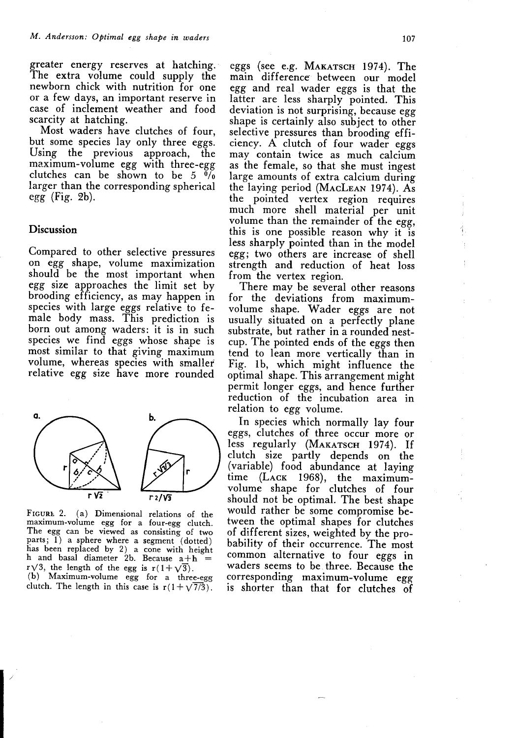greater energy reserves at hatching. The extra volume could supply the newborn chick with nutrition for one or a few days, an important reserve in case of inclement weather and food scarcity at hatching.

Most waders have clutches of four, but some species lay only three eggs.<br>Using the previous approach, the Using the previous maximum-volume egg with three-egg clutches can be shown to be  $5\sqrt{6}$ larger than the corresponding spherical  $egg$  (Fig. 2b).

# Discussion

Compared to other selective pressures on egg shape, volume maximization should be the most important when egg size approaches the limit set by brooding efficiency, as may happen in species with large eggs relative to female body mass. This prediction is born out among waders: it is in such species we find eggs whose shape is most similar to that giving maximum volume, whereas species with smaller relative egg size have more rounded



FIGURE 2. (a) Dimensional relations of the maximum-volume egg for a four-egg clutch . The egg can be viewed as consisting of two parts;  $1)$  a sphere where a segment (dotted) has been replaced by 2) a cone with height h and basal diameter 2b. Because  $a + h$  =  $r\sqrt{3}$ , the length of the egg is  $r(1+\sqrt{3})$ . (b) Maximum-volume egg for a three-egg clutch. The length in this case is  $r(1+\sqrt{7/3})$ .

eggs (see e.g. MAKATSCH 1974). The main difference- between our model egg and real wader eggs is that the latter are less sharply pointed. This deviation is not surprising, because egg shape is certainly also subject to other selective pressures than brooding efficiency. A clutch of four wader eggs may contain twice as much calcium as the female, so that she must ingest large amounts of extra calcium during the laying period (MACLEAN 1974). As the pointed vertex region requires much more shell material per unit volume than the remainder of the egg, this is one possible reason why it is less sharply pointed than in the model egg; two others are increase of shell strength and reduction of heat loss from the vertex region.

There may be several other reasons for the deviations from maximumvolume shape. Wader eggs are not usually situated on a perfectly plane substrate, but rather in a rounded nestcup. The pointed ends of the eggs then tend to lean more vertically than in Fig. lb, which might influence the optimal shape. This arrangement might permit longer eggs, and hence further reduction of the incubation area in relation to egg volume.

In species which normally lay four eggs, clutches of three occur more or less regularly (MAKATSCH 1974). If clutch size partly depends on the (variable) food abundance at laying time (LACK 1968), the maximumvolume shape for clutches of four should not be optimal. The best shape would rather be some compromise between the optimal shapes for clutches of different sizes, weighted by the probability of their occurrence . The most common alternative to four eggs in waders seems to be three. Because the corresponding maximum-volume egg is shorter than that for clutches of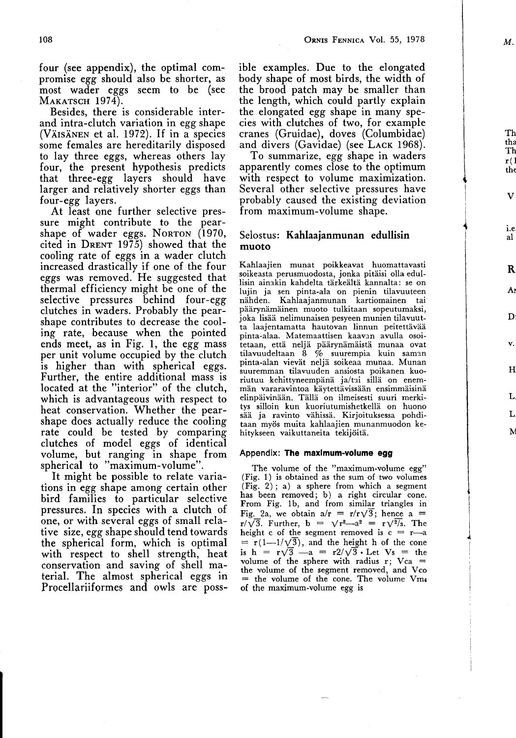four (see appendix), the optimal compromise egg should also be shorter, as most wader eggs seem to be (see MAKATSCH 1974).

Besides, there is considerable interand intra-clutch variation in egg shape (VÄISÄNEN et al. 1972). If in a species some females are hereditarily disposed to lay three eggs, whereas others lay four, the present hypothesis predicts that three-egg layers should have larger and relatively shorter eggs than four-egg layers.

At least one further selective pressure might contribute to the pearshape of wader eggs. NORTON (1970, cited in DRENT 1975) showed that the cooling rate of eggs in a wader clutch increased drastically if one of the four eggs was removed. He suggested that thermal efficiency might be one of the selective pressures behind four-egg clutches in waders. Probably the pearshape contributes to decrease the cooling rate, because when the pointed ends meet, as in Fig. 1, the egg mass per unit volume occupied by the clutch is higher than with spherical eggs. Further, the entire additional mass is located at the "interior" of the clutch, which is advantageous with respect to heat conservation. Whether the pearshape does actually reduce the cooling rate could be tested by comparing clutches of model eggs of identical volume, but ranging in shape from spherical to "maximum-volume" .

It might be possible to relate variations in egg shape among certain other bird families to particular selective pressures. In species with a clutch of one, or with several eggs of small relative size, egg shape should tend towards the spherical form, which is optimal with respect to shell strength, heat conservation and saving of shell material. The almost spherical eggs in Procellariiformes and owls are possible examples. Due to the elongated body shape of most birds, the width of the brood patch may be smaller than the length, which could partly explain the elongated egg shape in many species with clutches of two, for example cranes (Gruidae), doves (Columbidae) and divers (Gavidae) (see LACK 1968).

To summarize, egg shape in waders apparently comes close to the optimum with respect to volume maximization. Several other selective pressures have probably caused the existing deviation from maximum-volume shape.

## Selostus: Kahlaajanmunan edullisin muoto

Kahlaajien munat poikkeavat huomattavasti soikeasta perusmuodosta, jonka pitäisi olla edullisin ainakin kahdelta tärkeältä kannalta: se on lujin ja sen pinta-ala on pienin tilavuuteen nähden. Kahlaajanmunan kartiomainen tai päärynämäinen muoto tulkitaan sopeutumaksi, joka lisää nelimunaisen pesyeen munien tilavuutta laajentamatta hautovan linnun peitettävää pinta-alaa . Matemaattisen kaavan avulla osoitetaan, että neljä päärynämäistä munaa ovat tilavuudeltaan 8 % suurempia kuin saman pinta-alan vievät neljä soikeaa munaa. Munan suuremman tilavuuden ansiosta poikanen kuoriutuu kehittyneempänä ja/tai sillä on enemmän vararavintoa käytettävissään ensimmäisinä elinpäivinään. Tällä on ilmeisesti suuri merkitys silloin kun kuoriutumishetkellä on huono sää ja ravinto vähissä. Kirjoituksessa pohditaan myös muita kahlaajien munanmuodon kehitykseen vaikuttaneita tekijöitä.

#### Appendix: The maximum-volume egg

The volume of the "maximum-volume egg" (Fig. 1) is obtained as the sum of two volumes (Fig. 2) ; a) a sphere from which a segment has been removed; b) a right circular cone.<br>From Fig. 1b, and from similar triangles in Fig. 2a, we obtain  $a/r = r/r\sqrt{3}$ ; hence a =  $r/\sqrt{3}$ . Further,  $b = \sqrt{r^2-2^2} = r\sqrt{2/s}$ . The height c of the segment removed is  $c = r-a$  $= r(1-1/\sqrt{3})$ , and the height h of the cone is h =  $r\sqrt{3}$  -a =  $r2/\sqrt{3}$ . Let Vs = the volume of the sphere with radius r;  $Vca =$ the volume of the segment removed, and Vco  $=$  the volume of the cone. The volume  $Vm_4$ o£ the maximum-volume egg is